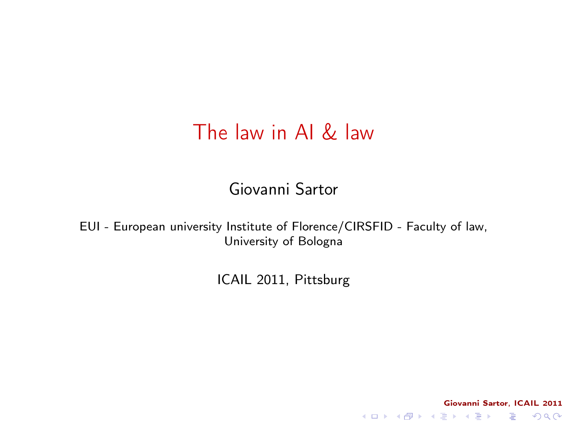#### The law in AI & law

Giovanni Sartor

<span id="page-0-0"></span>EUI - European university Institute of Florence/CIRSFID - Faculty of law, University of Bologna

ICAIL 2011, Pittsburg

Giovanni Sartor, ICAIL 2011 K ロ ▶ K 레 ▶ K 레 ▶ K 레 ≯ K 게 회 게 이 및 사 이 의 O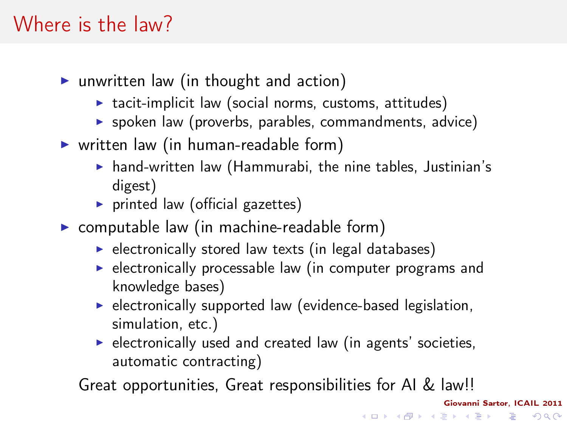# Where is the law?

- $\triangleright$  unwritten law (in thought and action)
	- $\triangleright$  tacit-implicit law (social norms, customs, attitudes)
	- $\triangleright$  spoken law (proverbs, parables, commandments, advice)
- $\triangleright$  written law (in human-readable form)
	- $\triangleright$  hand-written law (Hammurabi, the nine tables, Justinian's digest)
	- $\triangleright$  printed law (official gazettes)
- $\triangleright$  computable law (in machine-readable form)
	- $\blacktriangleright$  electronically stored law texts (in legal databases)
	- $\triangleright$  electronically processable law (in computer programs and knowledge bases)
	- $\triangleright$  electronically supported law (evidence-based legislation, simulation, etc.)
	- $\blacktriangleright$  electronically used and created law (in agents' societies, automatic contracting)

Great opportunities, Great responsibilities for AI & law!!

Giovanni Sartor, ICAIL 2011

K ロ ▶ K @ ▶ K 할 ▶ K 할 ▶ → 할 → 9 Q @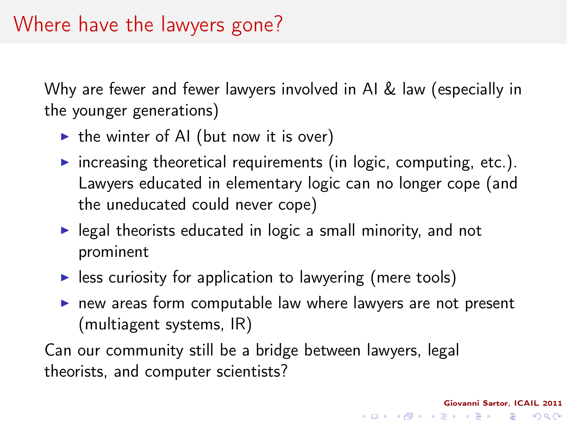Why are fewer and fewer lawyers involved in AI & law (especially in the younger generations)

- $\triangleright$  the winter of AI (but now it is over)
- $\triangleright$  increasing theoretical requirements (in logic, computing, etc.). Lawyers educated in elementary logic can no longer cope (and the uneducated could never cope)
- $\blacktriangleright$  legal theorists educated in logic a small minority, and not prominent
- $\blacktriangleright$  less curiosity for application to lawyering (mere tools)
- $\triangleright$  new areas form computable law where lawyers are not present (multiagent systems, IR)

Giovanni Sartor, ICAIL 2011

KEL KARIK KEL KEL KARIK

Can our community still be a bridge between lawyers, legal theorists, and computer scientists?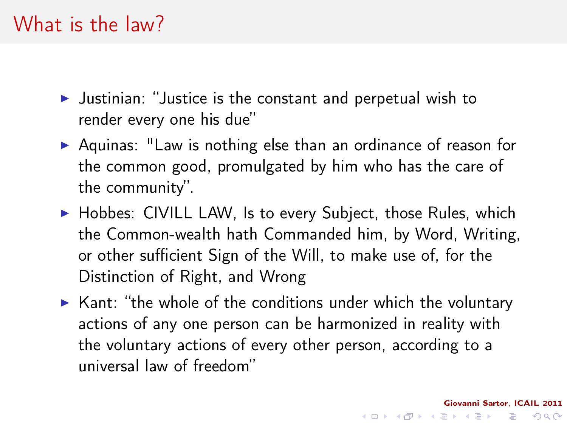- $\blacktriangleright$  Justinian: "Justice is the constant and perpetual wish to render every one his due"
- $\triangleright$  Aquinas: "Law is nothing else than an ordinance of reason for the common good, promulgated by him who has the care of the community".
- $\triangleright$  Hobbes: CIVILL LAW, Is to every Subject, those Rules, which the Common-wealth hath Commanded him, by Word, Writing, or other sufficient Sign of the Will, to make use of, for the Distinction of Right, and Wrong
- <span id="page-3-0"></span> $\triangleright$  Kant: "the whole of the conditions under which the voluntary actions of any one person can be harmonized in reality with the voluntary actions of every other person, according to a universal law of freedom"

Giovanni Sartor, ICAIL 2011

**KOD KOD KED KED E YORA**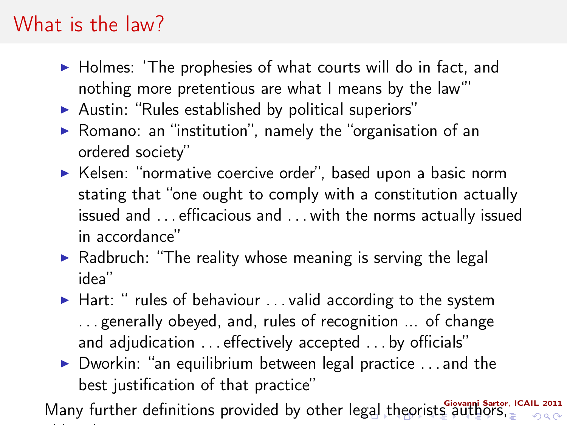# What is the law?

- $\triangleright$  Holmes: 'The prophesies of what courts will do in fact, and nothing more pretentious are what I means by the law'"
- $\blacktriangleright$  Austin: "Rules established by political superiors"
- $\triangleright$  Romano: an "institution", namely the "organisation of an ordered society"
- $\triangleright$  Kelsen: "normative coercive order", based upon a basic norm stating that "one ought to comply with a constitution actually issued and . . . efficacious and . . . with the norms actually issued in accordance"
- $\triangleright$  Radbruch: "The reality whose meaning is serving the legal idea"
- $\blacktriangleright$  Hart: " rules of behaviour ... valid according to the system . . . generally obeyed, and, rules of recognition ... of change and adjudication . . . effectively accepted . . . by officials"
- $\triangleright$  Dworkin: "an equilibrium between legal practice ... and the best justification of that practice"

<span id="page-4-0"></span>Many further definitions provided by other l[ega](#page-3-0)[l t](#page-5-0)[h](#page-3-0)[eo](#page-4-0)[ri](#page-5-0)[sts](#page-0-0) [a](#page-46-0)[uth](#page-0-0)[or](#page-46-0)[s,](#page-0-0)  $290$ old and new . . .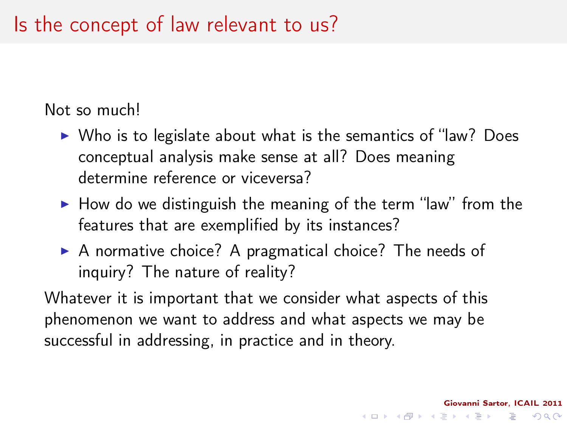#### Is the concept of law relevant to us?

Not so much!

- $\triangleright$  Who is to legislate about what is the semantics of "law? Does conceptual analysis make sense at all? Does meaning determine reference or viceversa?
- $\blacktriangleright$  How do we distinguish the meaning of the term "law" from the features that are exemplified by its instances?

Giovanni Sartor, ICAIL 2011

KEL KARIK KEL KEL KARIK

 $\triangleright$  A normative choice? A pragmatical choice? The needs of inquiry? The nature of reality?

<span id="page-5-0"></span>Whatever it is important that we consider what aspects of this phenomenon we want to address and what aspects we may be successful in addressing, in practice and in theory.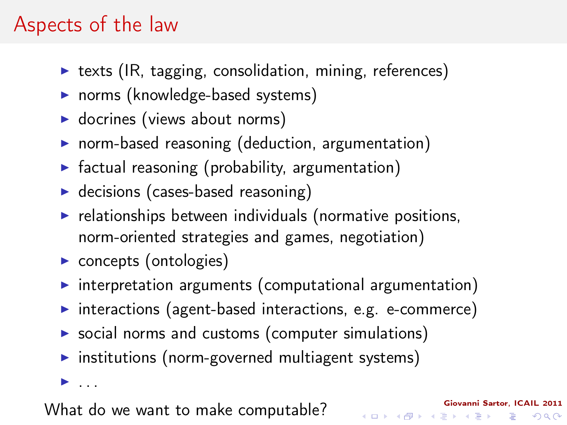#### Aspects of the law

- $\triangleright$  texts (IR, tagging, consolidation, mining, references)
- norms (knowledge-based systems)
- $\blacktriangleright$  docrines (views about norms)
- $\triangleright$  norm-based reasoning (deduction, argumentation)
- $\triangleright$  factual reasoning (probability, argumentation)
- $\blacktriangleright$  decisions (cases-based reasoning)
- $\blacktriangleright$  relationships between individuals (normative positions, norm-oriented strategies and games, negotiation)
- $\triangleright$  concepts (ontologies)
- $\triangleright$  interpretation arguments (computational argumentation)
- $\triangleright$  interactions (agent-based interactions, e.g. e-commerce)

Giovanni Sartor, ICAIL 2011

K ロ > K @ > K 할 > K 할 > → 할 → ⊙ Q Q\*

- $\triangleright$  social norms and customs (computer simulations)
- $\triangleright$  institutions (norm-governed multiagent systems)

 $\blacktriangleright$  . . . .

What do we want to make computable?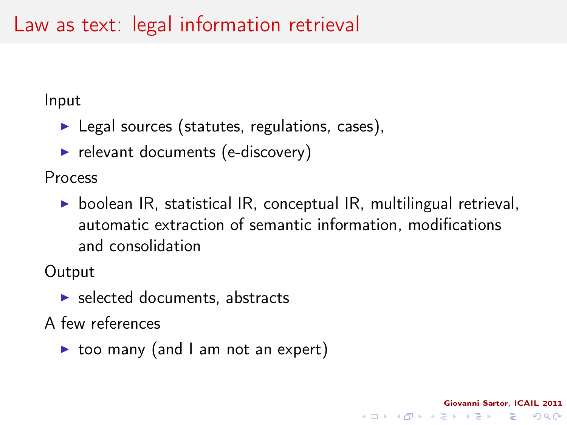#### Law as text: legal information retrieval

Input

- $\blacktriangleright$  Legal sources (statutes, regulations, cases),
- $\blacktriangleright$  relevant documents (e-discovery)

Process

 $\triangleright$  boolean IR, statistical IR, conceptual IR, multilingual retrieval, automatic extraction of semantic information, modifications and consolidation

Giovanni Sartor, ICAIL 2011

**KOD KOD KED KED E YORA** 

**Output** 

 $\blacktriangleright$  selected documents, abstracts

A few references

 $\triangleright$  too many (and I am not an expert)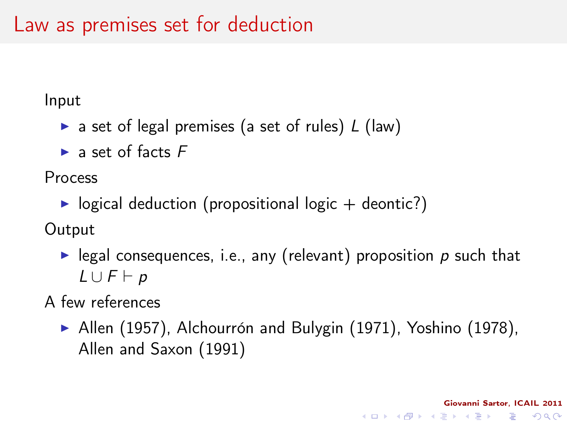Input

- a set of legal premises (a set of rules)  $L$  (law)
- $\blacktriangleright$  a set of facts  $F$

Process

 $\triangleright$  logical deduction (propositional logic  $+$  deontic?)

**Output** 

legal consequences, i.e., any (relevant) proposition  $p$  such that  $L \cup F \vdash p$ 

A few references

 $\blacktriangleright$  Allen (1957), Alchourrón and Bulygin (1971), Yoshino (1978), Allen and Saxon (1991)

Giovanni Sartor, ICAIL 2011

**KORK (FRAGE) KEY EL POLO**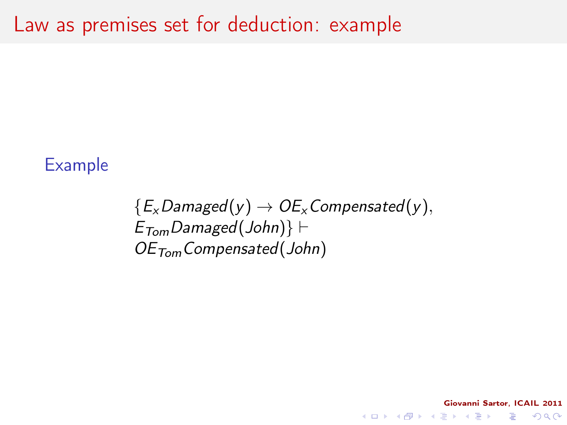#### Example

 ${E_x$ Damaged(y)  $\rightarrow$  OE<sub>x</sub> Compensated(y),  $E_{Tom}$ Damaged(John)}  $\vdash$  $OE<sub>Tom</sub> Compensated(John)$ 

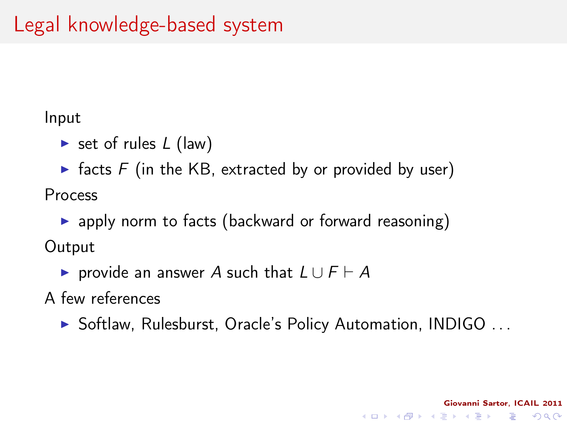#### Input

- $\triangleright$  set of rules L (law)
- $\triangleright$  facts F (in the KB, extracted by or provided by user) Process
- $\triangleright$  apply norm to facts (backward or forward reasoning) **Output** 
	- $\triangleright$  provide an answer A such that  $L \cup F \vdash A$
- A few references
	- ▶ Softlaw, Rulesburst, Oracle's Policy Automation, INDIGO ...

Giovanni Sartor, ICAIL 2011

K ロ > K @ > K 할 > K 할 > → 할 → ⊙ Q Q\*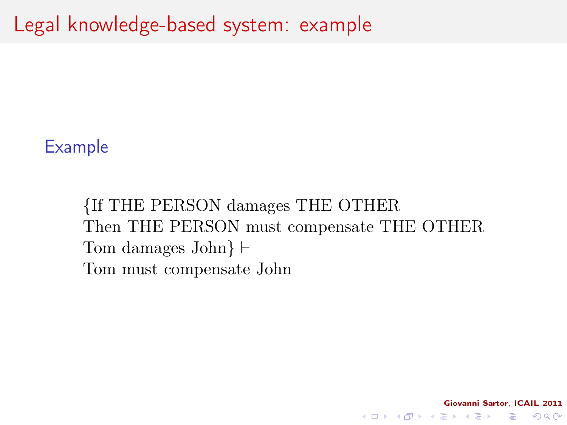#### Example

{If THE PERSON damages THE OTHER Then THE PERSON must compensate THE OTHER Tom damages John $\vdash$ Tom must compensate John

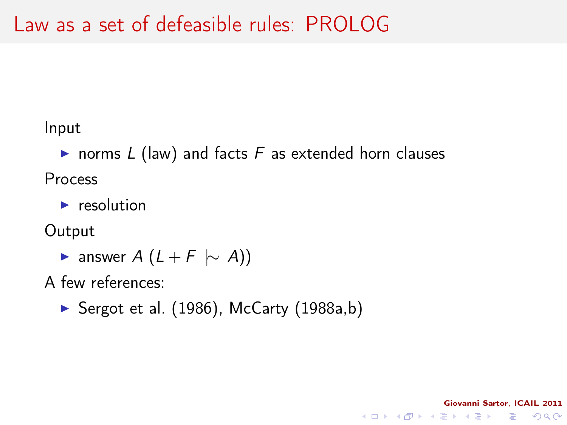Input

• norms  $L$  (law) and facts  $F$  as extended horn clauses Process

Giovanni Sartor, ICAIL 2011

K ロ > K @ > K 할 > K 할 > → 할 → ⊙ Q Q\*

 $\blacktriangleright$  resolution

**Output** 

► answer  $A(L + F \sim A)$ 

A few references:

Sergot et al.  $(1986)$ , McCarty  $(1988a,b)$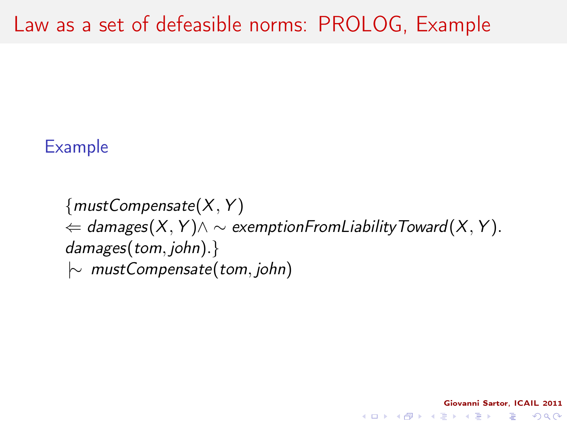#### Example

 ${mustCompensate(X, Y)}$  $\phi \in$  damages(X, Y) $\wedge \sim$  exemption From Liability Toward(X, Y). damages(tom, john).} |∼ mustCompensate(tom, john)

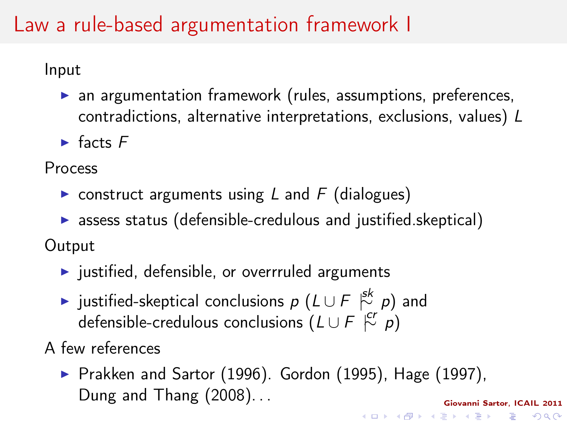## Law a rule-based argumentation framework I

Input

- $\triangleright$  an argumentation framework (rules, assumptions, preferences, contradictions, alternative interpretations, exclusions, values) L
- $\blacktriangleright$  facts  $F$

Process

- $\triangleright$  construct arguments using L and F (dialogues)
- $\triangleright$  assess status (defensible-credulous and justified.skeptical)

**Output** 

- $\blacktriangleright$  justified, defensible, or overrruled arguments
- $\blacktriangleright$  justified-skeptical conclusions  $p$   $(L \cup F \stackrel{\mathsf{sk}}{\sim} p)$  and defensible-credulous conclusions  $(L \cup F \stackrel{cr}{\sim} p)$

A few references

Giovanni Sartor, ICAIL 2011 Prakken and Sartor (1996). Gordon (1995), Hage (1997), Dung and Thang (2008). . .

**KORK (FRAGE) KERK EL POLO**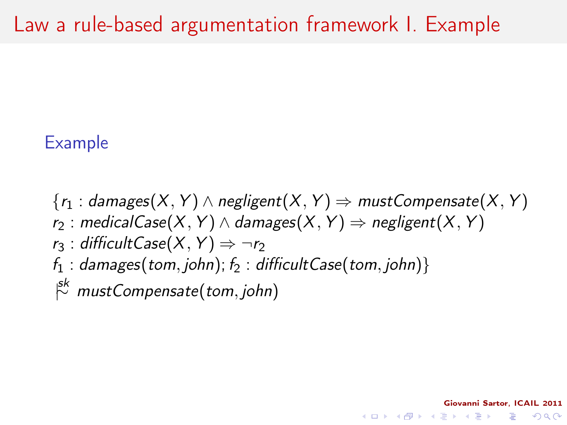#### Example

 ${r_1 : d}$  damages(X, Y)  $\wedge$  negligent(X, Y)  $\Rightarrow$  mustCompensate(X, Y)

Giovanni Sartor, ICAIL 2011

**KOD KOD KED KED E YORA** 

- $r_2$ : medicalCase(X, Y)  $\wedge$  damages(X, Y)  $\Rightarrow$  negligent(X, Y)
- $r_3$ : difficultCase $(X, Y) \Rightarrow \neg r_2$
- $f_1$ : damages(tom, john);  $f_2$ : difficultCase(tom, john)}  $\stackrel{\rm sk}{\sim}$  mustCompensate(tom, john)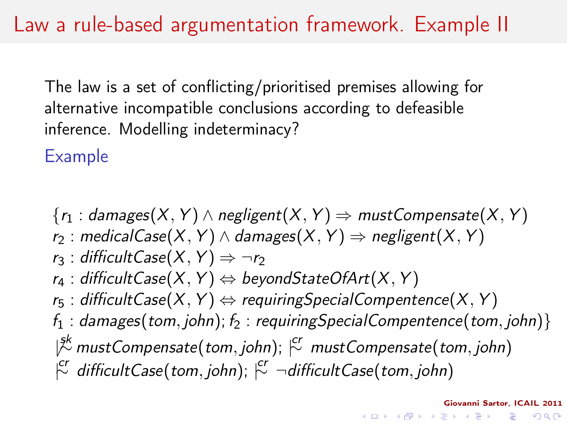The law is a set of conflicting/prioritised premises allowing for alternative incompatible conclusions according to defeasible inference. Modelling indeterminacy?

Example

 ${r_1 : d$ amages $(X, Y) \wedge$  negligent $(X, Y) \Rightarrow$  mustCompensate $(X, Y)$ r<sub>2</sub> : medicalCase(X, Y)  $\land$  damages(X, Y)  $\Rightarrow$  negligent(X, Y)  $r_3$ : difficultCase $(X, Y) \Rightarrow \neg r_2$  $r_4$ : difficultCase(X, Y)  $\Leftrightarrow$  beyondStateOfArt(X, Y)  $r_5$ : difficultCase(X, Y)  $\Leftrightarrow$  requiringSpecialCompentence(X, Y)  $f_1$ : damages(tom, john);  $f_2$ : requiringSpecialCompentence(tom, john)}  $|\overset{\circ}{\cal X}}$  mustCompensate(tom, john);  $\overset{\circ}{\cal C'}$  mustCompensate(tom, john)  $\vert \overset{cr}{\sim} \textit{ difficultCase}(\textit{tom}, \textit{john})$ ;  $\vert \overset{cr}{\sim} \neg \textit{difficultCase}(\textit{tom}, \textit{john})$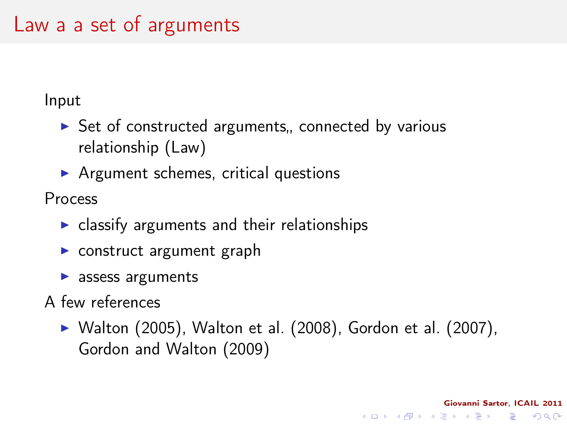#### Law a a set of arguments

Input

- $\triangleright$  Set of constructed arguments, connected by various relationship (Law)
- $\triangleright$  Argument schemes, critical questions

Process

- $\triangleright$  classify arguments and their relationships
- $\triangleright$  construct argument graph
- $\blacktriangleright$  assess arguments
- A few references
	- $\triangleright$  Walton (2005), Walton et al. (2008), Gordon et al. (2007), Gordon and Walton (2009)

Giovanni Sartor, ICAIL 2011

KEL KARIK KEL KEL KARIK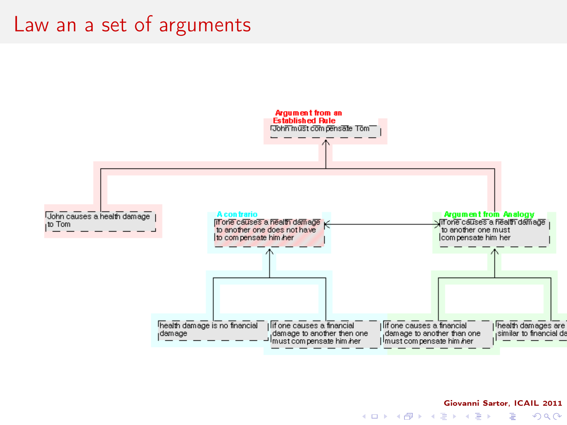#### Law an a set of arguments



#### Giovanni Sartor, ICAIL 2011 B

 $2Q$ 

 $4$  ロ )  $4$  何 )  $4$  ヨ )  $4$  (ヨ )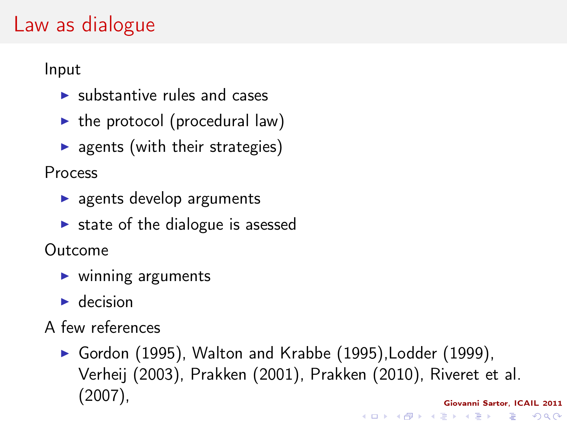#### Law as dialogue

Input

- $\blacktriangleright$  substantive rules and cases
- $\blacktriangleright$  the protocol (procedural law)
- $\triangleright$  agents (with their strategies)

Process

- $\blacktriangleright$  agents develop arguments
- $\triangleright$  state of the dialogue is asessed

Outcome

- $\blacktriangleright$  winning arguments
- $\blacktriangleright$  decision
- A few references
	- Gordon (1995), Walton and Krabbe (1995), Lodder (1999), Verheij (2003), Prakken (2001), Prakken (2010), Riveret et al. (2007),Giovanni Sartor, ICAIL 2011 K ロ ▶ K @ ▶ K 할 X X 할 X → 할 X → 9 Q Q →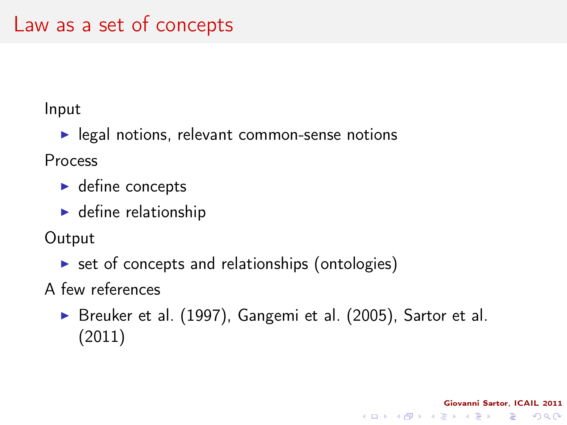#### Input

 $\blacktriangleright$  legal notions, relevant common-sense notions

Process

- $\blacktriangleright$  define concepts
- $\blacktriangleright$  define relationship

**Output** 

 $\triangleright$  set of concepts and relationships (ontologies)

A few references

 $\triangleright$  Breuker et al. (1997), Gangemi et al. (2005), Sartor et al. (2011)

Giovanni Sartor, ICAIL 2011

K ロ ▶ K @ ▶ K 할 X X 할 X → 할 X → 9 Q Q →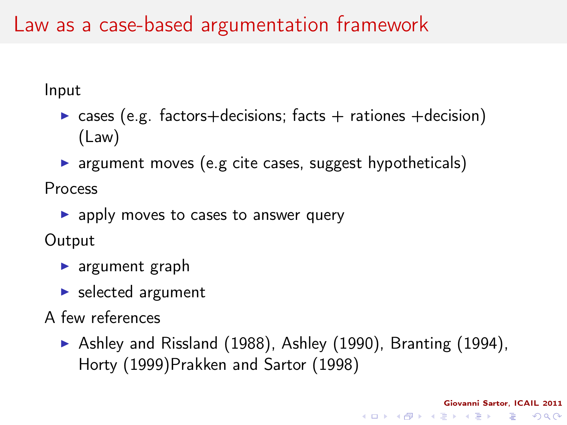#### Law as a case-based argumentation framework

Input

- $\triangleright$  cases (e.g. factors+decisions; facts + rationes +decision) (Law)
- $\triangleright$  argument moves (e.g cite cases, suggest hypotheticals)

Process

 $\blacktriangleright$  apply moves to cases to answer query

**Output** 

- $\blacktriangleright$  argument graph
- $\blacktriangleright$  selected argument
- <span id="page-21-0"></span>A few references
	- $\blacktriangleright$  Ashley and Rissland (1988), Ashley (1990), Branting (1994), Horty (1999)Prakken and Sartor (1998)

Giovanni Sartor, ICAIL 2011

**KORK (FRAGE) KERK EL POLO**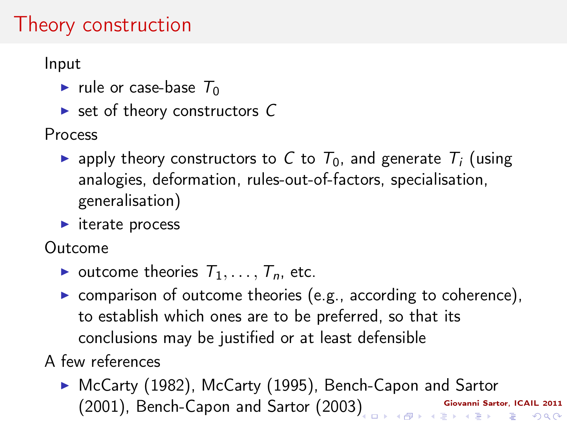### Theory construction

Input

- rule or case-base  $T_0$
- $\triangleright$  set of theory constructors C

Process

- **Examply theory constructors to C to**  $T_0$ **, and generate**  $T_i$  **(using** analogies, deformation, rules-out-of-factors, specialisation, generalisation)
- $\blacktriangleright$  iterate process

Outcome

- outcome theories  $T_1, \ldots, T_n$ , etc.
- $\triangleright$  comparison of outcome theories (e.g., according to coherence), to establish which ones are to be preferred, so that its conclusions may be justified or at least defensible

A few references

Giovanni Sartor, ICAIL 2011 (2001), Bench-Capon and Sartor (2003[\)](#page-21-0)▶ McCarty (1982), McCarty (1995), Bench-Capon and Sartor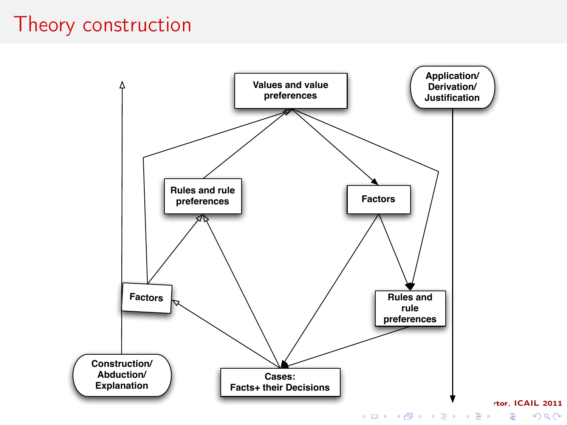#### Theory construction



 $299$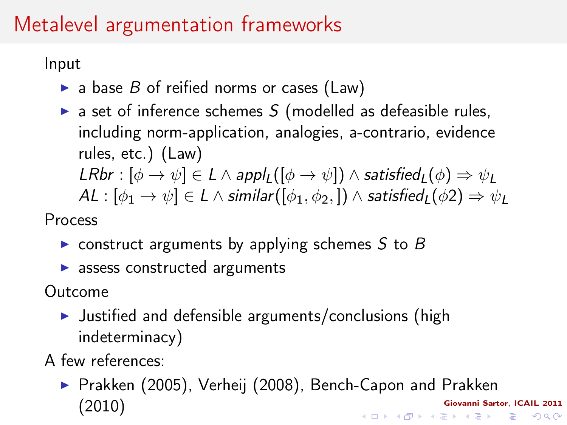# Metalevel argumentation frameworks

Input

- $\triangleright$  a base B of reified norms or cases (Law)
- $\triangleright$  a set of inference schemes S (modelled as defeasible rules, including norm-application, analogies, a-contrario, evidence rules, etc.) (Law) LRbr :  $[\phi \rightarrow \psi] \in L \wedge apply(\phi \rightarrow \psi]) \wedge satisfied_I(\phi) \Rightarrow \psi_I$  $AL : [\phi_1 \to \psi] \in L \wedge$  similar $([\phi_1, \phi_2,]) \wedge$  satisfied<sub>L</sub> $(\phi_2) \Rightarrow \psi_L$

Process

- $\triangleright$  construct arguments by applying schemes S to B
- $\blacktriangleright$  assess constructed arguments

Outcome

- $\blacktriangleright$  Justified and defensible arguments/conclusions (high indeterminacy)
- A few references:
	- ▶ Prakken (2005), Verheij (2008), Bench-Capon and Prakken (2010)Giovanni Sartor, ICAIL 2011 K ロ ▶ K @ ▶ K 할 X X 할 X → 할 X → 9 Q Q →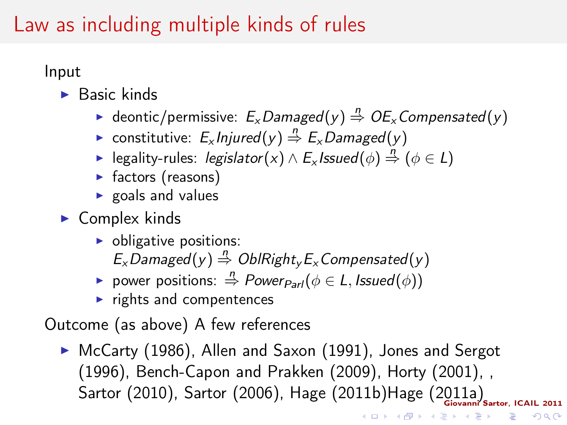#### Law as including multiple kinds of rules

Input

- $\blacktriangleright$  Basic kinds
	- ► deontic/permissive:  $E_x$ Damaged $(y) \stackrel{n}{\Rightarrow} OE_x$ Compensated $(y)$
	- ► constitutive:  $E_x$ Injured $(y) \stackrel{n}{\Rightarrow} E_x$ Damaged $(y)$
	- ► legality-rules: *legislator*(x)  $\land$  E<sub>x</sub> Issued( $\phi$ )  $\stackrel{n}{\Rightarrow}$  ( $\phi \in L$ )
	- $\blacktriangleright$  factors (reasons)
	- $\triangleright$  goals and values
- $\blacktriangleright$  Complex kinds
	- $\triangleright$  obligative positions:  $E_x$  Damaged(y)  $\stackrel{n}{\Rightarrow}$  OblRight<sub>y</sub>  $E_x$  Compensated(y)
	- **►** power positions:  $\stackrel{n}{\Rightarrow}$  Power<sub>Parl</sub>( $\phi \in L$ , Issued( $\phi$ ))
	- $\blacktriangleright$  rights and compentences

Outcome (as above) A few references

Sartor (2010), Sartor (2006), Hage (2011b)Hage (2011a) ► McCarty (1986), Allen and Saxon (1991), Jones and Sergot (1996), Bench-Capon and Prakken (2009), Horty (2001), ,

 $4$  (D )  $4$   $6$  )  $4$   $\pm$  )  $4$   $\pm$  )  $4$   $\pm$  )

- a

 $2Q$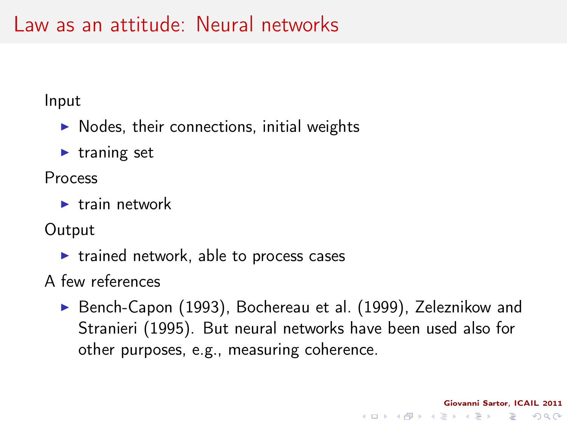#### Law as an attitude: Neural networks

Input

- $\blacktriangleright$  Nodes, their connections, initial weights
- $\blacktriangleright$  traning set

Process

 $\blacktriangleright$  train network

**Output** 

 $\triangleright$  trained network, able to process cases

A few references

▶ Bench-Capon (1993), Bochereau et al. (1999), Zeleznikow and Stranieri (1995). But neural networks have been used also for other purposes, e.g., measuring coherence.

Giovanni Sartor, ICAIL 2011

KEL KARIK KEL KEL KARIK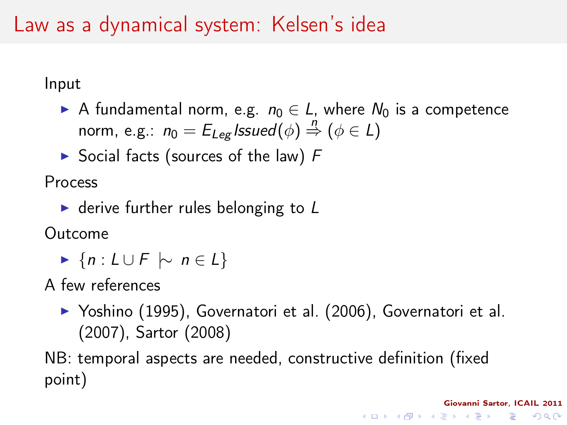#### Law as a dynamical system: Kelsen's idea

Input

- A fundamental norm, e.g.  $n_0 \in L$ , where  $N_0$  is a competence norm, e.g.:  $n_0 = E_{Leg}$  Issued $(\phi) \stackrel{n}{\Rightarrow} (\phi \in L)$
- $\triangleright$  Social facts (sources of the law) F

Process

 $\triangleright$  derive further rules belonging to L

Outcome

 $\blacktriangleright$  {n : L ∪ F  $\sim$  n ∈ L}

A few references

▶ Yoshino (1995), Governatori et al. (2006), Governatori et al. (2007), Sartor (2008)

Giovanni Sartor, ICAIL 2011

**KORK (FRAGE) KEY EL POLO** 

NB: temporal aspects are needed, constructive definition (fixed point)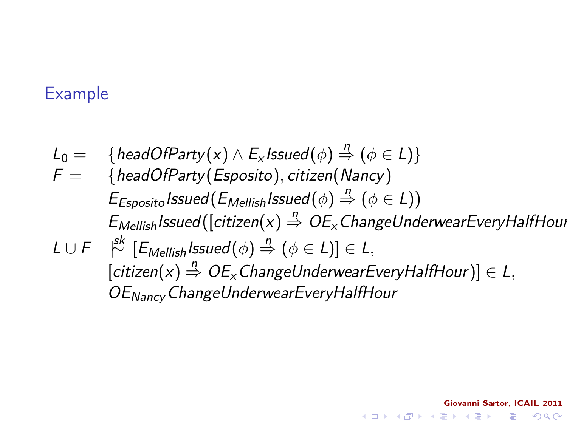#### Example

 $L_0 = \{ \text{headOfParty}(x) \wedge E_x \text{Issued}(\phi) \overset{n}{\Rightarrow} (\phi \in L) \}$  $F = \{headOfParty(Esposito), citizen(Nancy)\}$  $E_{Esposito}$  Issued  $(E_{Mellish}$  Issued  $(\phi) \stackrel{n}{\Rightarrow} (\phi \in L))$  $E_{Mellish}$ Issued([citizen(x)  $\stackrel{n}{\Rightarrow}$  OE<sub>x</sub> ChangeUnderwearEveryHalfHour L ∪ F | sk<sup>∼</sup> [EMellishIssued(φ) <sup>n</sup>=⇒ (φ ∈ L)] ∈ L,  $[citizen(x) \stackrel{n}{\Rightarrow} OE_x$ ChangeUnderwearEveryHalfHour)]  $\in$  L, OENancyChangeUnderwearEveryHalfHour

Giovanni Sartor, ICAIL 2011

**KOD KOD KED KED E YORA**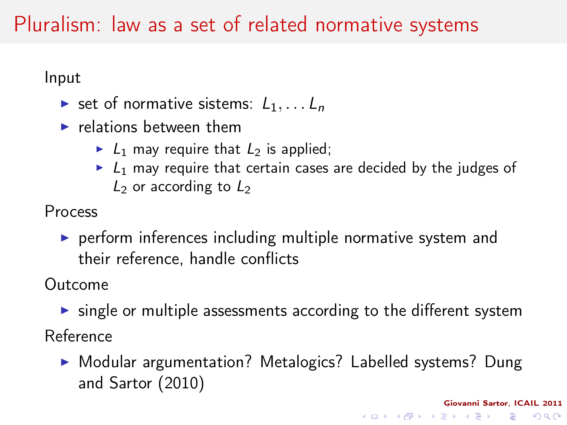### Pluralism: law as a set of related normative systems

Input

- ightharpoonup sistems:  $L_1, \ldots L_n$
- $\blacktriangleright$  relations between them
	- $\blacktriangleright$   $L_1$  may require that  $L_2$  is applied;
	- $\blacktriangleright$   $L_1$  may require that certain cases are decided by the judges of  $L_2$  or according to  $L_2$

Process

 $\triangleright$  perform inferences including multiple normative system and their reference, handle conflicts

Outcome

- $\triangleright$  single or multiple assessments according to the different system Reference
	- ▶ Modular argumentation? Metalogics? Labelled systems? Dung and Sartor (2010)

Giovanni Sartor, ICAIL 2011

**KORK (FRAGE) KERK EL POLO**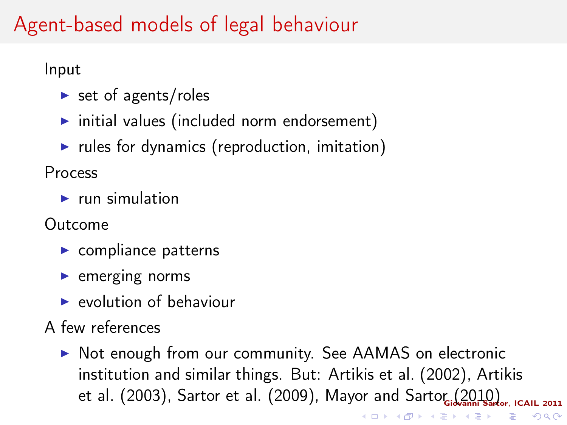## Agent-based models of legal behaviour

Input

- $\triangleright$  set of agents/roles
- $\triangleright$  initial values (included norm endorsement)
- rules for dynamics (reproduction, imitation)

Process

 $\blacktriangleright$  run simulation

Outcome

- $\blacktriangleright$  compliance patterns
- $\blacktriangleright$  emerging norms
- $\blacktriangleright$  evolution of behaviour
- A few references
	- ▶ Not enough from our community. See AAMAS on electronic institution and similar things. But: Artikis et al. (2002), Artikis et al. (2003), Sartor et al. (2009), Mayor and Sartor (2010), <sub>I</sub>cail 2011 K ロ X × 個 X × 変 X × 変 X → 変

 $2990$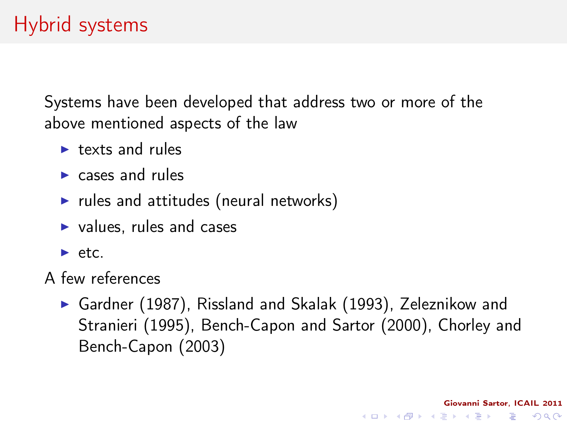Systems have been developed that address two or more of the above mentioned aspects of the law

- $\blacktriangleright$  texts and rules
- $\blacktriangleright$  cases and rules
- $\blacktriangleright$  rules and attitudes (neural networks)
- $\blacktriangleright$  values, rules and cases
- $\rightharpoonup$  etc.
- A few references
	- ▶ Gardner (1987), Rissland and Skalak (1993), Zeleznikow and Stranieri (1995), Bench-Capon and Sartor (2000), Chorley and Bench-Capon (2003)

Giovanni Sartor, ICAIL 2011

KEL KARIK KEL KEL KARIK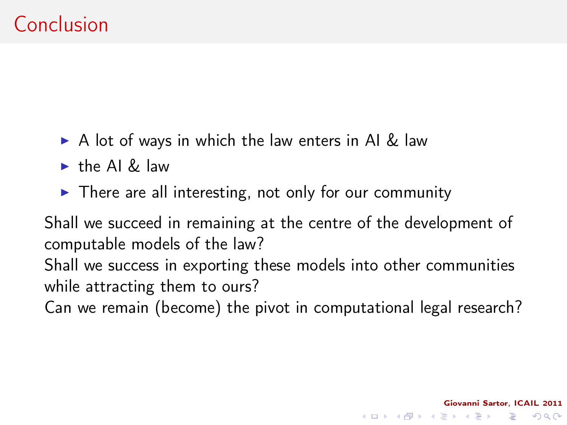- $\triangleright$  A lot of ways in which the law enters in AI & law
- $\blacktriangleright$  the AI & law
- $\triangleright$  There are all interesting, not only for our community

Shall we succeed in remaining at the centre of the development of computable models of the law? Shall we success in exporting these models into other communities

while attracting them to ours?

<span id="page-32-0"></span>Can we remain (become) the pivot in computational legal research?

Giovanni Sartor, ICAIL 2011

KEL KARIK KEL KEL KARIK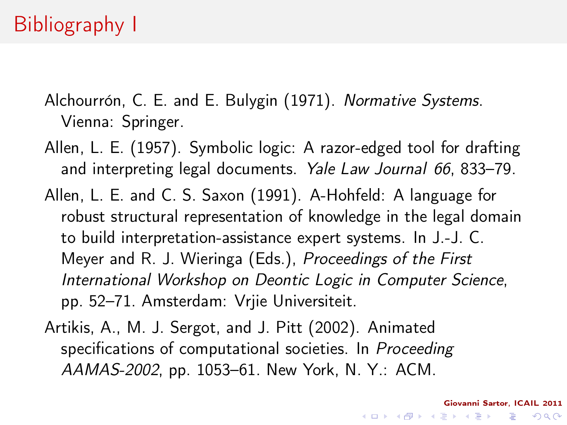- Alchourrón, C. E. and E. Bulygin (1971). Normative Systems. Vienna: Springer.
- Allen, L. E. (1957). Symbolic logic: A razor-edged tool for drafting and interpreting legal documents. Yale Law Journal 66, 833–79.
- Allen, L. E. and C. S. Saxon (1991). A-Hohfeld: A language for robust structural representation of knowledge in the legal domain to build interpretation-assistance expert systems. In J.-J. C. Meyer and R. J. Wieringa (Eds.), Proceedings of the First International Workshop on Deontic Logic in Computer Science, pp. 52–71. Amsterdam: Vrjie Universiteit.
- <span id="page-33-0"></span>Artikis, A., M. J. Sergot, and J. Pitt (2002). Animated specifications of computational societies. In Proceeding AAMAS-2002, pp. 1053–61. New York, N. Y.: ACM.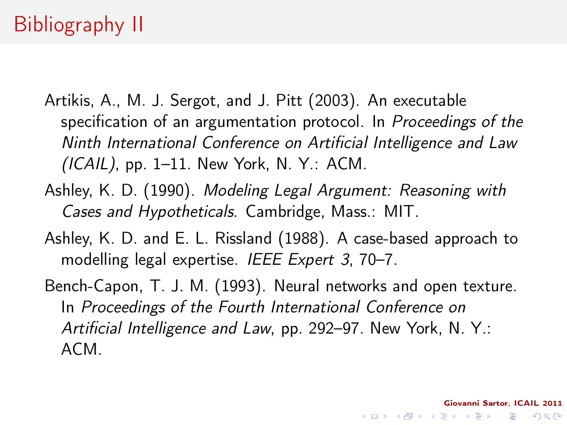- Artikis, A., M. J. Sergot, and J. Pitt (2003). An executable specification of an argumentation protocol. In Proceedings of the Ninth International Conference on Artificial Intelligence and Law  $(ICAIL)$ , pp. 1–11. New York, N. Y.: ACM.
- Ashley, K. D. (1990). Modeling Legal Argument: Reasoning with Cases and Hypotheticals. Cambridge, Mass.: MIT.
- Ashley, K. D. and E. L. Rissland (1988). A case-based approach to modelling legal expertise. IEEE Expert 3, 70–7.
- Bench-Capon, T. J. M. (1993). Neural networks and open texture. In Proceedings of the Fourth International Conference on Artificial Intelligence and Law, pp. 292–97. New York, N. Y.: ACM.

Giovanni Sartor, ICAIL 2011

**KOD KOD KED KED E YORA**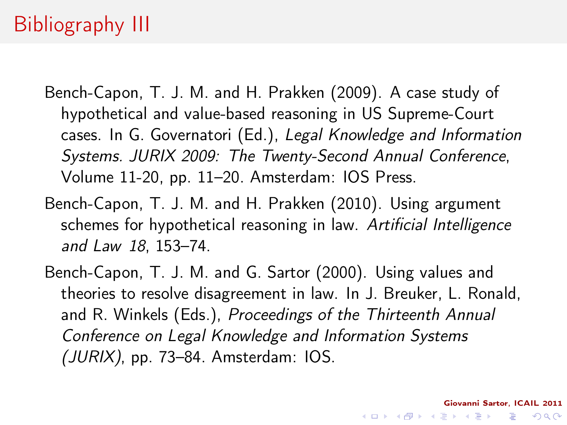# Bibliography III

- Bench-Capon, T. J. M. and H. Prakken (2009). A case study of hypothetical and value-based reasoning in US Supreme-Court cases. In G. Governatori (Ed.), Legal Knowledge and Information Systems. JURIX 2009: The Twenty-Second Annual Conference, Volume 11-20, pp. 11–20. Amsterdam: IOS Press.
- Bench-Capon, T. J. M. and H. Prakken (2010). Using argument schemes for hypothetical reasoning in law. Artificial Intelligence and Law 18, 153–74.
- Bench-Capon, T. J. M. and G. Sartor (2000). Using values and theories to resolve disagreement in law. In J. Breuker, L. Ronald, and R. Winkels (Eds.), Proceedings of the Thirteenth Annual Conference on Legal Knowledge and Information Systems (JURIX), pp. 73–84. Amsterdam: IOS.

Giovanni Sartor, ICAIL 2011

**KOD KOD KED KED E YORA**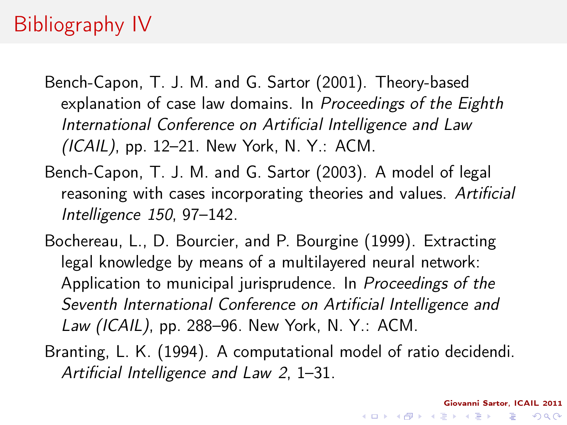# Bibliography IV

Bench-Capon, T. J. M. and G. Sartor (2001). Theory-based explanation of case law domains. In Proceedings of the Eighth International Conference on Artificial Intelligence and Law  $(ICAIL)$ , pp. 12–21. New York, N. Y.: ACM.

- Bench-Capon, T. J. M. and G. Sartor (2003). A model of legal reasoning with cases incorporating theories and values. Artificial Intelligence 150, 97–142.
- Bochereau, L., D. Bourcier, and P. Bourgine (1999). Extracting legal knowledge by means of a multilayered neural network: Application to municipal jurisprudence. In Proceedings of the Seventh International Conference on Artificial Intelligence and Law (ICAIL), pp. 288–96. New York, N. Y.: ACM.

Branting, L. K. (1994). A computational model of ratio decidendi. Artificial Intelligence and Law 2, 1–31.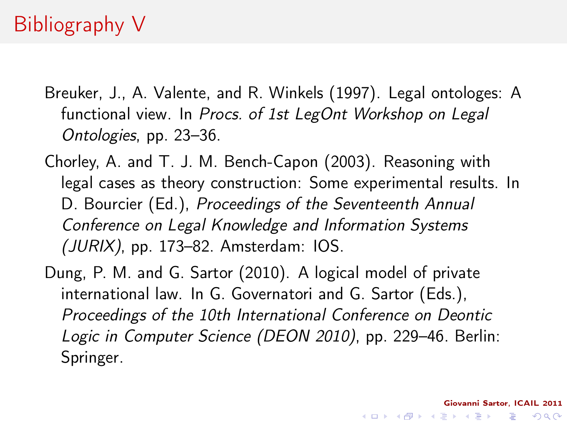# Bibliography V

- Breuker, J., A. Valente, and R. Winkels (1997). Legal ontologes: A functional view. In Procs. of 1st LegOnt Workshop on Legal Ontologies, pp. 23–36.
- Chorley, A. and T. J. M. Bench-Capon (2003). Reasoning with legal cases as theory construction: Some experimental results. In D. Bourcier (Ed.), Proceedings of the Seventeenth Annual Conference on Legal Knowledge and Information Systems (JURIX), pp. 173–82. Amsterdam: IOS.
- Dung, P. M. and G. Sartor (2010). A logical model of private international law. In G. Governatori and G. Sartor (Eds.), Proceedings of the 10th International Conference on Deontic Logic in Computer Science (DEON 2010), pp. 229–46. Berlin: Springer.

Giovanni Sartor, ICAIL 2011

KEL KARIK KEL KEL KARIK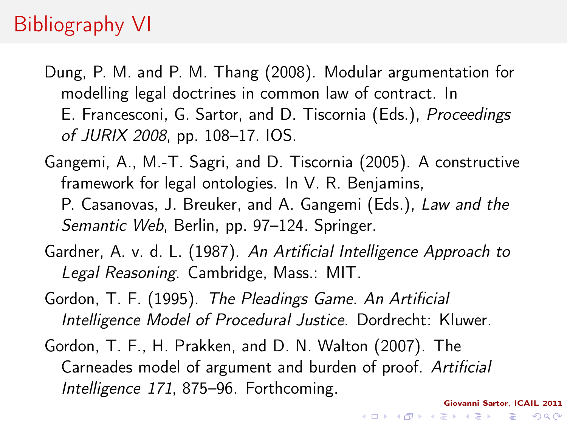## Bibliography VI

- Dung, P. M. and P. M. Thang (2008). Modular argumentation for modelling legal doctrines in common law of contract. In E. Francesconi, G. Sartor, and D. Tiscornia (Eds.), Proceedings of JURIX 2008, pp. 108–17. IOS.
- Gangemi, A., M.-T. Sagri, and D. Tiscornia (2005). A constructive framework for legal ontologies. In V. R. Benjamins, P. Casanovas, J. Breuker, and A. Gangemi (Eds.), Law and the Semantic Web, Berlin, pp. 97–124. Springer.
- Gardner, A. v. d. L. (1987). An Artificial Intelligence Approach to Legal Reasoning. Cambridge, Mass.: MIT.
- Gordon, T. F. (1995). The Pleadings Game. An Artificial Intelligence Model of Procedural Justice. Dordrecht: Kluwer.
- <span id="page-38-0"></span>Gordon, T. F., H. Prakken, and D. N. Walton (2007). The Carneades model of argument and burden of proof. Artificial Intelligence 171, 875–96. Forthcoming.

Giovanni Sartor, ICAIL 2011

K ロ > K @ > K 할 > K 할 > → 할 → ⊙ Q Q\*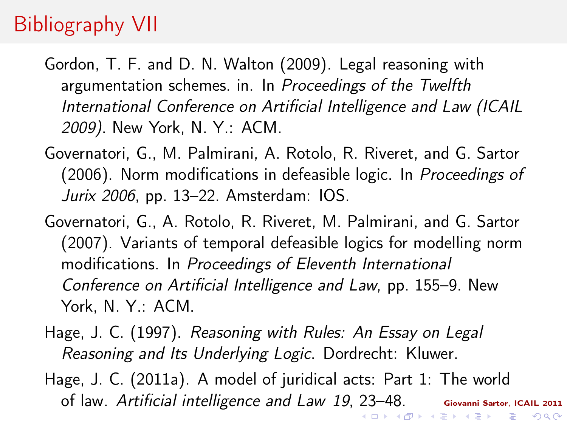# Bibliography VII

Gordon, T. F. and D. N. Walton (2009). Legal reasoning with argumentation schemes. in. In Proceedings of the Twelfth International Conference on Artificial Intelligence and Law (ICAIL 2009). New York, N. Y.: ACM.

- Governatori, G., M. Palmirani, A. Rotolo, R. Riveret, and G. Sartor (2006). Norm modifications in defeasible logic. In Proceedings of Jurix 2006, pp. 13–22. Amsterdam: IOS.
- Governatori, G., A. Rotolo, R. Riveret, M. Palmirani, and G. Sartor (2007). Variants of temporal defeasible logics for modelling norm modifications. In Proceedings of Eleventh International Conference on Artificial Intelligence and Law, pp. 155–9. New York, N. Y.: ACM.
- Hage, J. C. (1997). Reasoning with Rules: An Essay on Legal Reasoning and Its Underlying Logic. Dordrecht: Kluwer.
- Hage, J. C. (2011a). A model of juridical acts: Part 1: The world of law. Artificial intelligence and Law 19, [23](#page-38-0)[–4](#page-40-0)[8](#page-32-0)[.](#page-33-0)Giovanni Sartor, ICAIL 2011 - 4 日 ▶ (伊 ) (日 ) (日 ) (日 )

 $2Q$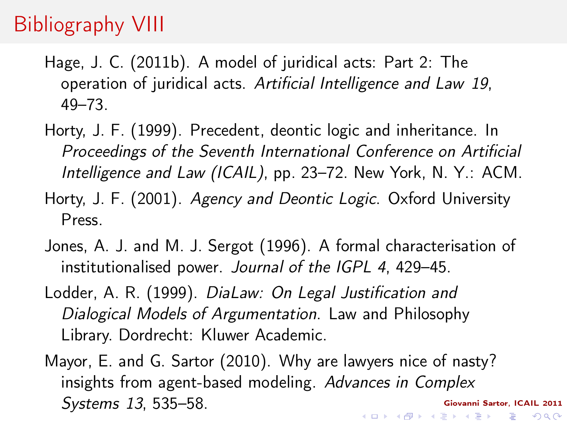# Bibliography VIII

- Hage, J. C. (2011b). A model of juridical acts: Part 2: The operation of juridical acts. Artificial Intelligence and Law 19, 49–73.
- Horty, J. F. (1999). Precedent, deontic logic and inheritance. In Proceedings of the Seventh International Conference on Artificial Intelligence and Law (ICAIL), pp. 23–72. New York, N. Y.: ACM.
- Horty, J. F. (2001). Agency and Deontic Logic. Oxford University Press.
- Jones, A. J. and M. J. Sergot (1996). A formal characterisation of institutionalised power. Journal of the IGPL 4, 429–45.
- Lodder, A. R. (1999). DiaLaw: On Legal Justification and Dialogical Models of Argumentation. Law and Philosophy Library. Dordrecht: Kluwer Academic.
- <span id="page-40-0"></span>Mayor, E. and G. Sartor (2010). Why are lawyers nice of nasty? insights from agent-based modeling. Advances in Complex Systems 13, 535–58.Giovanni Sartor, ICAIL 2011  $\mathbf{1} \oplus \mathbf{1} \oplus \mathbf{1} \oplus \mathbf{1} \oplus \mathbf{1} \oplus \mathbf{1} \oplus \mathbf{1} \oplus \mathbf{1} \oplus \mathbf{1} \oplus \mathbf{1} \oplus \mathbf{1} \oplus \mathbf{1} \oplus \mathbf{1} \oplus \mathbf{1} \oplus \mathbf{1} \oplus \mathbf{1} \oplus \mathbf{1} \oplus \mathbf{1} \oplus \mathbf{1} \oplus \mathbf{1} \oplus \mathbf{1} \oplus \mathbf{1} \oplus \mathbf{1} \oplus \mathbf{1} \oplus \mathbf{$

 $QQ$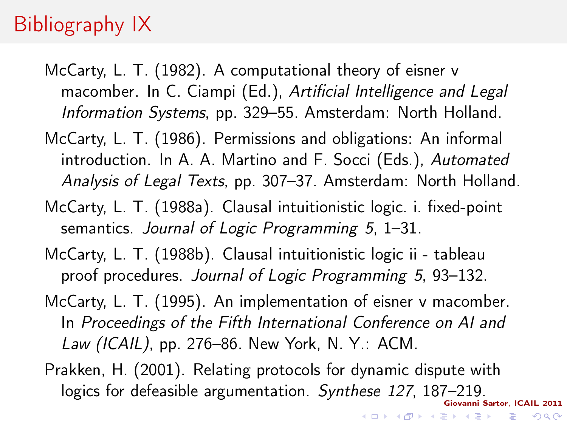# Bibliography IX

- McCarty, L. T. (1982). A computational theory of eisner v macomber. In C. Ciampi (Ed.), Artificial Intelligence and Legal Information Systems, pp. 329–55. Amsterdam: North Holland.
- McCarty, L. T. (1986). Permissions and obligations: An informal introduction. In A. A. Martino and F. Socci (Eds.), Automated Analysis of Legal Texts, pp. 307–37. Amsterdam: North Holland.
- McCarty, L. T. (1988a). Clausal intuitionistic logic. i. fixed-point semantics. Journal of Logic Programming 5, 1-31.
- McCarty, L. T. (1988b). Clausal intuitionistic logic ii tableau proof procedures. Journal of Logic Programming 5, 93–132.
- McCarty, L. T. (1995). An implementation of eisner v macomber. In Proceedings of the Fifth International Conference on AI and Law (ICAIL), pp. 276–86. New York, N. Y.: ACM.
- Giovanni Sartor, ICAIL 2011 Prakken, H. (2001). Relating protocols for dynamic dispute with logics for defeasible argumentation. Synthese 127, 187-219.

 $(1 - 4)$ 

**Single State** 

 $\Omega$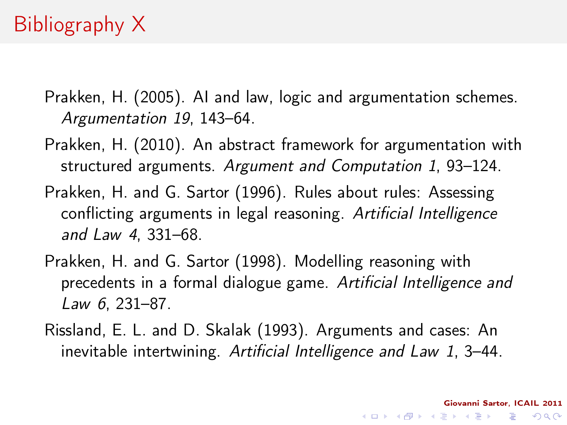- Prakken, H. (2005). AI and law, logic and argumentation schemes. Argumentation 19, 143–64.
- Prakken, H. (2010). An abstract framework for argumentation with structured arguments. Argument and Computation 1, 93–124.
- Prakken, H. and G. Sartor (1996). Rules about rules: Assessing conflicting arguments in legal reasoning. Artificial Intelligence and Law 4, 331–68.
- Prakken, H. and G. Sartor (1998). Modelling reasoning with precedents in a formal dialogue game. Artificial Intelligence and Law 6, 231–87.
- Rissland, E. L. and D. Skalak (1993). Arguments and cases: An inevitable intertwining. Artificial Intelligence and Law 1, 3–44.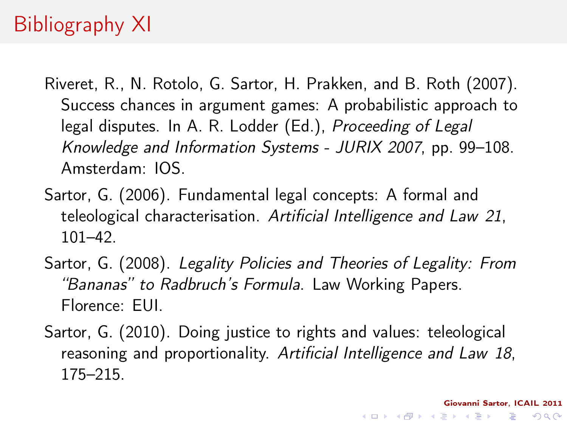# Bibliography XI

- Riveret, R., N. Rotolo, G. Sartor, H. Prakken, and B. Roth (2007). Success chances in argument games: A probabilistic approach to legal disputes. In A. R. Lodder (Ed.), Proceeding of Legal Knowledge and Information Systems - JURIX 2007, pp. 99–108. Amsterdam: IOS.
- Sartor, G. (2006). Fundamental legal concepts: A formal and teleological characterisation. Artificial Intelligence and Law 21, 101–42.
- Sartor, G. (2008). Legality Policies and Theories of Legality: From "Bananas" to Radbruch's Formula. Law Working Papers. Florence: EUI.
- <span id="page-43-0"></span>Sartor, G. (2010). Doing justice to rights and values: teleological reasoning and proportionality. Artificial Intelligence and Law 18, 175–215.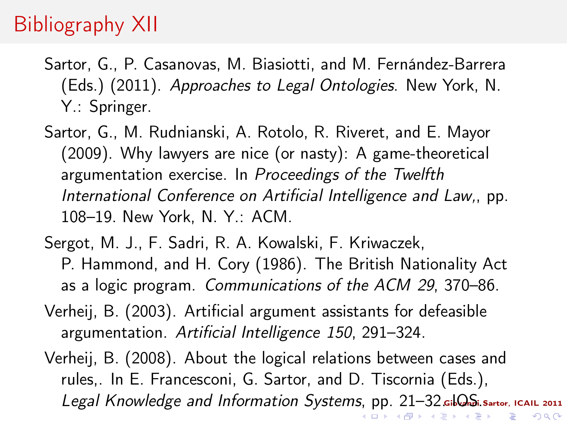## Bibliography XII

- Sartor, G., P. Casanovas, M. Biasiotti, and M. Fernández-Barrera (Eds.) (2011). Approaches to Legal Ontologies. New York, N. Y.: Springer.
- Sartor, G., M. Rudnianski, A. Rotolo, R. Riveret, and E. Mayor (2009). Why lawyers are nice (or nasty): A game-theoretical argumentation exercise. In Proceedings of the Twelfth International Conference on Artificial Intelligence and Law,, pp. 108–19. New York, N. Y.: ACM.
- Sergot, M. J., F. Sadri, R. A. Kowalski, F. Kriwaczek, P. Hammond, and H. Cory (1986). The British Nationality Act as a logic program. Communications of the ACM 29, 370–86.
- Verheij, B. (2003). Artificial argument assistants for defeasible argumentation. Artificial Intelligence 150, 291–324.
- Verheij, B. (2008). About the logical relations between cases and rules,. In E. Francesconi, G. Sartor, and D. Tiscornia (Eds.), Legal Knowledge and Information Systems[,](#page-43-0) [pp.](#page-45-0)[2](#page-33-0)1-[32](#page-0-0)[.](#page-46-0) Gil S. Sartor, ICAIL 2011 → <唐> <唐>  $QQ$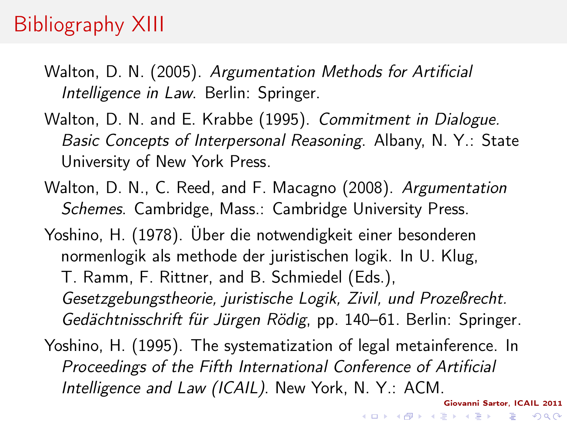# Bibliography XIII

- Walton, D. N. (2005). Argumentation Methods for Artificial Intelligence in Law. Berlin: Springer.
- Walton, D. N. and E. Krabbe (1995). Commitment in Dialogue. Basic Concepts of Interpersonal Reasoning. Albany, N. Y.: State University of New York Press.
- Walton, D. N., C. Reed, and F. Macagno (2008). Argumentation Schemes. Cambridge, Mass.: Cambridge University Press.
- Yoshino, H. (1978). Über die notwendigkeit einer besonderen normenlogik als methode der juristischen logik. In U. Klug, T. Ramm, F. Rittner, and B. Schmiedel (Eds.),

Gesetzgebungstheorie, juristische Logik, Zivil, und Prozeßrecht. Gedächtnisschrift für Jürgen Rödig, pp. 140–61. Berlin: Springer.

<span id="page-45-0"></span>Yoshino, H. (1995). The systematization of legal metainference. In Proceedings of the Fifth International Conference of Artificial Intelligence and Law (ICAIL). New York, N. Y.: ACM.

Giovanni Sartor, ICAIL 2011

 $QQ$ 

 $\mathbf{1} \oplus \mathbf{1} \oplus \mathbf{1} \oplus \mathbf{1} \oplus \mathbf{1} \oplus \mathbf{1} \oplus \mathbf{1} \oplus \mathbf{1} \oplus \mathbf{1} \oplus \mathbf{1} \oplus \mathbf{1} \oplus \mathbf{1} \oplus \mathbf{1} \oplus \mathbf{1} \oplus \mathbf{1} \oplus \mathbf{1} \oplus \mathbf{1} \oplus \mathbf{1} \oplus \mathbf{1} \oplus \mathbf{1} \oplus \mathbf{1} \oplus \mathbf{1} \oplus \mathbf{1} \oplus \mathbf{1} \oplus \mathbf{$